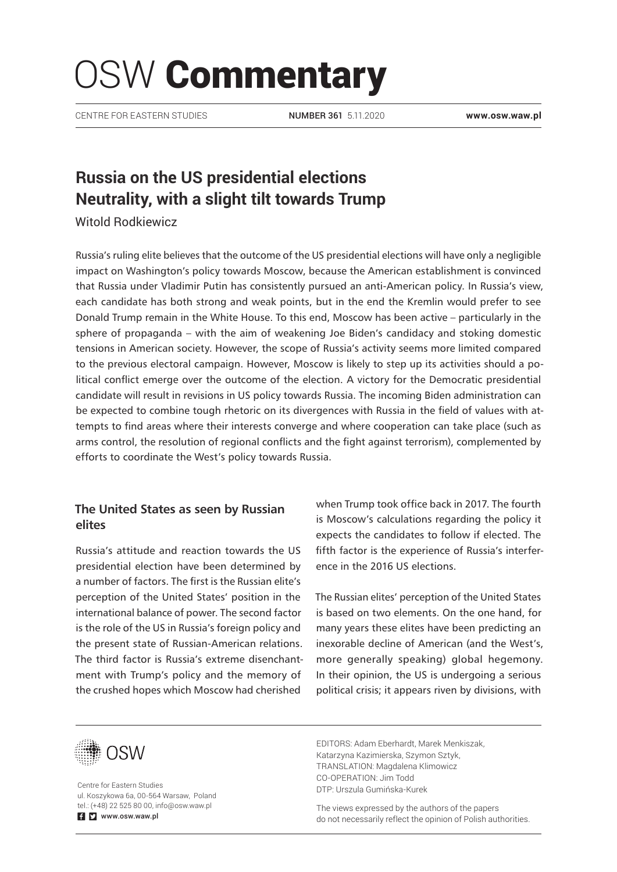# OSW Commentary

CENTRE FOR EASTERN STUDIES **www.osw.waw.pl**

NUMBER 361 5.11.2020

# **Russia on the US presidential elections Neutrality, with a slight tilt towards Trump**

Witold Rodkiewicz

Russia's ruling elite believes that the outcome of the US presidential elections will have only a negligible impact on Washington's policy towards Moscow, because the American establishment is convinced that Russia under Vladimir Putin has consistently pursued an anti-American policy. In Russia's view, each candidate has both strong and weak points, but in the end the Kremlin would prefer to see Donald Trump remain in the White House. To this end, Moscow has been active – particularly in the sphere of propaganda – with the aim of weakening Joe Biden's candidacy and stoking domestic tensions in American society. However, the scope of Russia's activity seems more limited compared to the previous electoral campaign. However, Moscow is likely to step up its activities should a political conflict emerge over the outcome of the election. A victory for the Democratic presidential candidate will result in revisions in US policy towards Russia. The incoming Biden administration can be expected to combine tough rhetoric on its divergences with Russia in the field of values with attempts to find areas where their interests converge and where cooperation can take place (such as arms control, the resolution of regional conflicts and the fight against terrorism), complemented by efforts to coordinate the West's policy towards Russia.

# **The United States as seen by Russian elites**

Russia's attitude and reaction towards the US presidential election have been determined by a number of factors. The first is the Russian elite's perception of the United States' position in the international balance of power. The second factor is the role of the US in Russia's foreign policy and the present state of Russian-American relations. The third factor is Russia's extreme disenchantment with Trump's policy and the memory of the crushed hopes which Moscow had cherished

when Trump took office back in 2017. The fourth is Moscow's calculations regarding the policy it expects the candidates to follow if elected. The fifth factor is the experience of Russia's interference in the 2016 US elections.

The Russian elites' perception of the United States is based on two elements. On the one hand, for many years these elites have been predicting an inexorable decline of American (and the West's, more generally speaking) global hegemony. In their opinion, the US is undergoing a serious political crisis; it appears riven by divisions, with



Centre for Eastern Studies ul. Koszykowa 6a, 00-564 Warsaw, Poland tel.: (+48) 22 525 80 00, info@osw.waw.pl **E** www.osw.waw.pl

EDITORS: Adam Eberhardt, Marek Menkiszak, Katarzyna Kazimierska, Szymon Sztyk, TRANSLATION: Magdalena Klimowicz CO-OPERATION: Jim Todd DTP: Urszula Gumińska-Kurek

The views expressed by the authors of the papers do not necessarily reflect the opinion of Polish authorities.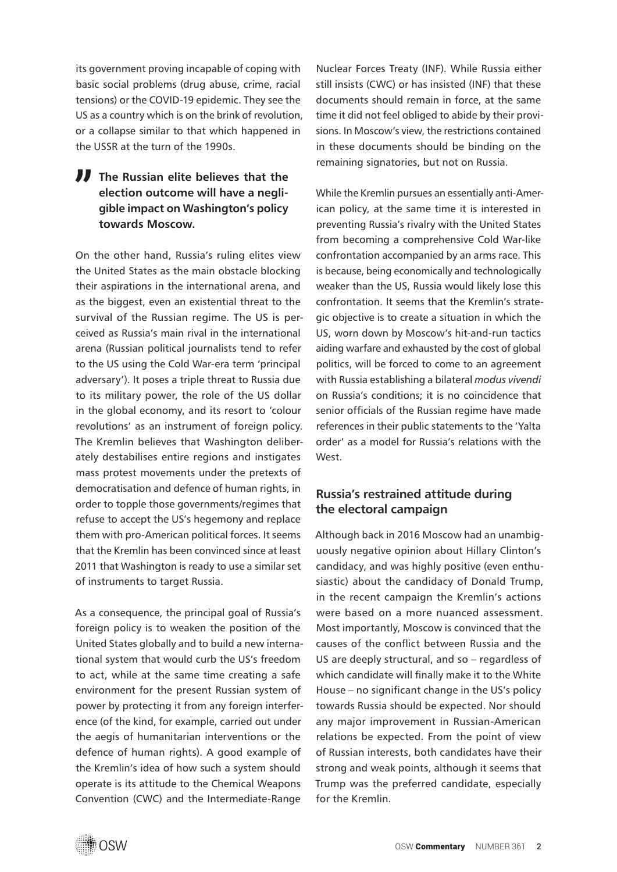its government proving incapable of coping with basic social problems (drug abuse, crime, racial tensions) or the COVID-19 epidemic. They see the US as a country which is on the brink of revolution, or a collapse similar to that which happened in the USSR at the turn of the 1990s.

# **The Russian elite believes that the election outcome will have a negligible impact on Washington's policy towards Moscow.**

On the other hand, Russia's ruling elites view the United States as the main obstacle blocking their aspirations in the international arena, and as the biggest, even an existential threat to the survival of the Russian regime. The US is perceived as Russia's main rival in the international arena (Russian political journalists tend to refer to the US using the Cold War-era term 'principal adversary'). It poses a triple threat to Russia due to its military power, the role of the US dollar in the global economy, and its resort to 'colour revolutions' as an instrument of foreign policy. The Kremlin believes that Washington deliberately destabilises entire regions and instigates mass protest movements under the pretexts of democratisation and defence of human rights, in order to topple those governments/regimes that refuse to accept the US's hegemony and replace them with pro-American political forces. It seems that the Kremlin has been convinced since at least 2011 that Washington is ready to use a similar set of instruments to target Russia.

As a consequence, the principal goal of Russia's foreign policy is to weaken the position of the United States globally and to build a new international system that would curb the US's freedom to act, while at the same time creating a safe environment for the present Russian system of power by protecting it from any foreign interference (of the kind, for example, carried out under the aegis of humanitarian interventions or the defence of human rights). A good example of the Kremlin's idea of how such a system should operate is its attitude to the Chemical Weapons Convention (CWC) and the Intermediate-Range

Nuclear Forces Treaty (INF). While Russia either still insists (CWC) or has insisted (INF) that these documents should remain in force, at the same time it did not feel obliged to abide by their provisions. In Moscow's view, the restrictions contained in these documents should be binding on the remaining signatories, but not on Russia.

While the Kremlin pursues an essentially anti-American policy, at the same time it is interested in preventing Russia's rivalry with the United States from becoming a comprehensive Cold War-like confrontation accompanied by an arms race. This is because, being economically and technologically weaker than the US, Russia would likely lose this confrontation. It seems that the Kremlin's strategic objective is to create a situation in which the US, worn down by Moscow's hit-and-run tactics aiding warfare and exhausted by the cost of global politics, will be forced to come to an agreement with Russia establishing a bilateral *modus vivendi*  on Russia's conditions; it is no coincidence that senior officials of the Russian regime have made references in their public statements to the 'Yalta order' as a model for Russia's relations with the West.

# **Russia's restrained attitude during the electoral campaign**

Although back in 2016 Moscow had an unambiguously negative opinion about Hillary Clinton's candidacy, and was highly positive (even enthusiastic) about the candidacy of Donald Trump, in the recent campaign the Kremlin's actions were based on a more nuanced assessment. Most importantly, Moscow is convinced that the causes of the conflict between Russia and the US are deeply structural, and so – regardless of which candidate will finally make it to the White House – no significant change in the US's policy towards Russia should be expected. Nor should any major improvement in Russian-American relations be expected. From the point of view of Russian interests, both candidates have their strong and weak points, although it seems that Trump was the preferred candidate, especially for the Kremlin.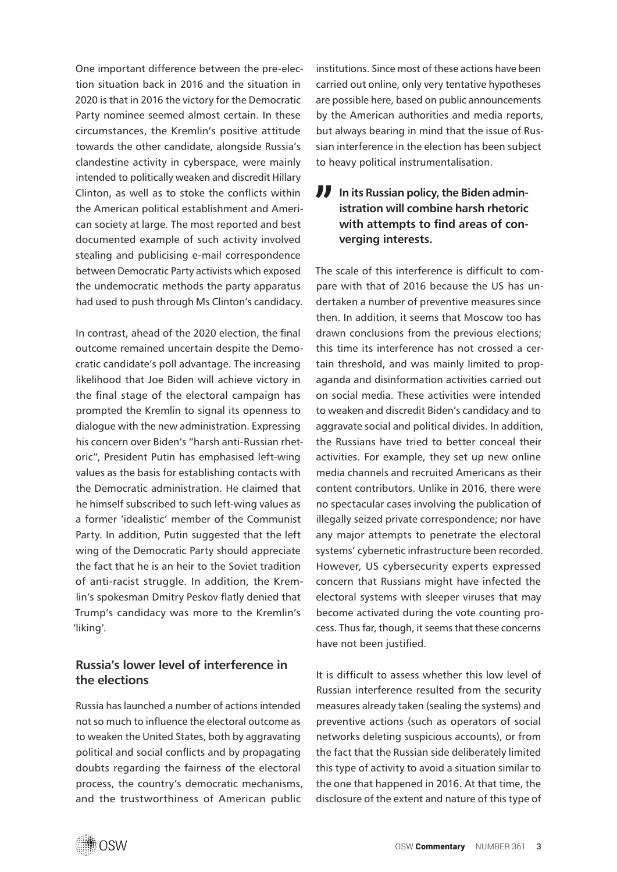One important difference between the pre-election situation back in 2016 and the situation in 2020 is that in 2016 the victory for the Democratic Party nominee seemed almost certain. In these circumstances, the Kremlin's positive attitude towards the other candidate, alongside Russia's clandestine activity in cyberspace, were mainly intended to politically weaken and discredit Hillary Clinton, as well as to stoke the conflicts within the American political establishment and American society at large. The most reported and best documented example of such activity involved stealing and publicising e-mail correspondence between Democratic Party activists which exposed the undemocratic methods the party apparatus had used to push through Ms Clinton's candidacy.

In contrast, ahead of the 2020 election, the final outcome remained uncertain despite the Democratic candidate's poll advantage. The increasing likelihood that Joe Biden will achieve victory in the final stage of the electoral campaign has prompted the Kremlin to signal its openness to dialogue with the new administration. Expressing his concern over Biden's "harsh anti-Russian rhetoric", President Putin has emphasised left-wing values as the basis for establishing contacts with the Democratic administration. He claimed that he himself subscribed to such left-wing values as a former 'idealistic' member of the Communist Party. In addition, Putin suggested that the left wing of the Democratic Party should appreciate the fact that he is an heir to the Soviet tradition of anti-racist struggle. In addition, the Kremlin's spokesman Dmitry Peskov flatly denied that Trump's candidacy was more to the Kremlin's 'liking'.

# **Russia's lower level of interference in the elections**

Russia has launched a number of actions intended not so much to influence the electoral outcome as to weaken the United States, both by aggravating political and social conflicts and by propagating doubts regarding the fairness of the electoral process, the country's democratic mechanisms, and the trustworthiness of American public

institutions. Since most of these actions have been carried out online, only very tentative hypotheses are possible here, based on public announcements by the American authorities and media reports, but always bearing in mind that the issue of Russian interference in the election has been subject to heavy political instrumentalisation.

# **In its Russian policy, the Biden administration will combine harsh rhetoric with attempts to find areas of converging interests.**

The scale of this interference is difficult to compare with that of 2016 because the US has undertaken a number of preventive measures since then. In addition, it seems that Moscow too has drawn conclusions from the previous elections; this time its interference has not crossed a certain threshold, and was mainly limited to propaganda and disinformation activities carried out on social media. These activities were intended to weaken and discredit Biden's candidacy and to aggravate social and political divides. In addition, the Russians have tried to better conceal their activities. For example, they set up new online media channels and recruited Americans as their content contributors. Unlike in 2016, there were no spectacular cases involving the publication of illegally seized private correspondence; nor have any major attempts to penetrate the electoral systems' cybernetic infrastructure been recorded. However, US cybersecurity experts expressed concern that Russians might have infected the electoral systems with sleeper viruses that may become activated during the vote counting process. Thus far, though, it seems that these concerns have not been justified.

It is difficult to assess whether this low level of Russian interference resulted from the security measures already taken (sealing the systems) and preventive actions (such as operators of social networks deleting suspicious accounts), or from the fact that the Russian side deliberately limited this type of activity to avoid a situation similar to the one that happened in 2016. At that time, the disclosure of the extent and nature of this type of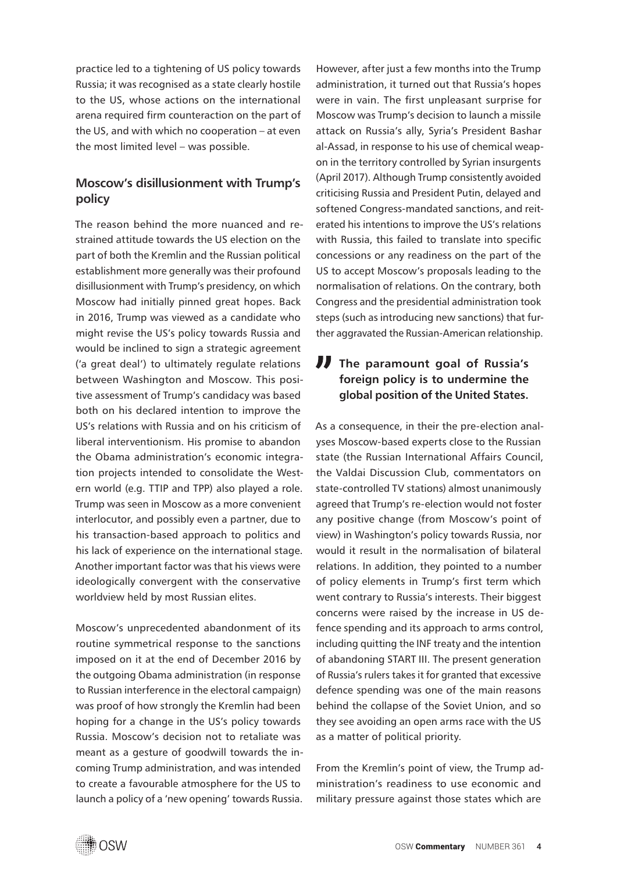practice led to a tightening of US policy towards Russia; it was recognised as a state clearly hostile to the US, whose actions on the international arena required firm counteraction on the part of the US, and with which no cooperation – at even the most limited level – was possible.

# **Moscow's disillusionment with Trump's policy**

The reason behind the more nuanced and restrained attitude towards the US election on the part of both the Kremlin and the Russian political establishment more generally was their profound disillusionment with Trump's presidency, on which Moscow had initially pinned great hopes. Back in 2016, Trump was viewed as a candidate who might revise the US's policy towards Russia and would be inclined to sign a strategic agreement ('a great deal') to ultimately regulate relations between Washington and Moscow. This positive assessment of Trump's candidacy was based both on his declared intention to improve the US's relations with Russia and on his criticism of liberal interventionism. His promise to abandon the Obama administration's economic integration projects intended to consolidate the Western world (e.g. TTIP and TPP) also played a role. Trump was seen in Moscow as a more convenient interlocutor, and possibly even a partner, due to his transaction-based approach to politics and his lack of experience on the international stage. Another important factor was that his views were ideologically convergent with the conservative worldview held by most Russian elites.

Moscow's unprecedented abandonment of its routine symmetrical response to the sanctions imposed on it at the end of December 2016 by the outgoing Obama administration (in response to Russian interference in the electoral campaign) was proof of how strongly the Kremlin had been hoping for a change in the US's policy towards Russia. Moscow's decision not to retaliate was meant as a gesture of goodwill towards the incoming Trump administration, and was intended to create a favourable atmosphere for the US to launch a policy of a 'new opening' towards Russia. However, after just a few months into the Trump administration, it turned out that Russia's hopes were in vain. The first unpleasant surprise for Moscow was Trump's decision to launch a missile attack on Russia's ally, Syria's President Bashar al-Assad, in response to his use of chemical weapon in the territory controlled by Syrian insurgents (April 2017). Although Trump consistently avoided criticising Russia and President Putin, delayed and softened Congress-mandated sanctions, and reiterated his intentions to improve the US's relations with Russia, this failed to translate into specific concessions or any readiness on the part of the US to accept Moscow's proposals leading to the normalisation of relations. On the contrary, both Congress and the presidential administration took steps (such as introducing new sanctions) that further aggravated the Russian-American relationship.

# **The paramount goal of Russia's foreign policy is to undermine the global position of the United States.**

As a consequence, in their the pre-election analyses Moscow-based experts close to the Russian state (the Russian International Affairs Council, the Valdai Discussion Club, commentators on state-controlled TV stations) almost unanimously agreed that Trump's re-election would not foster any positive change (from Moscow's point of view) in Washington's policy towards Russia, nor would it result in the normalisation of bilateral relations. In addition, they pointed to a number of policy elements in Trump's first term which went contrary to Russia's interests. Their biggest concerns were raised by the increase in US defence spending and its approach to arms control, including quitting the INF treaty and the intention of abandoning START III. The present generation of Russia's rulers takes it for granted that excessive defence spending was one of the main reasons behind the collapse of the Soviet Union, and so they see avoiding an open arms race with the US as a matter of political priority.

From the Kremlin's point of view, the Trump administration's readiness to use economic and military pressure against those states which are

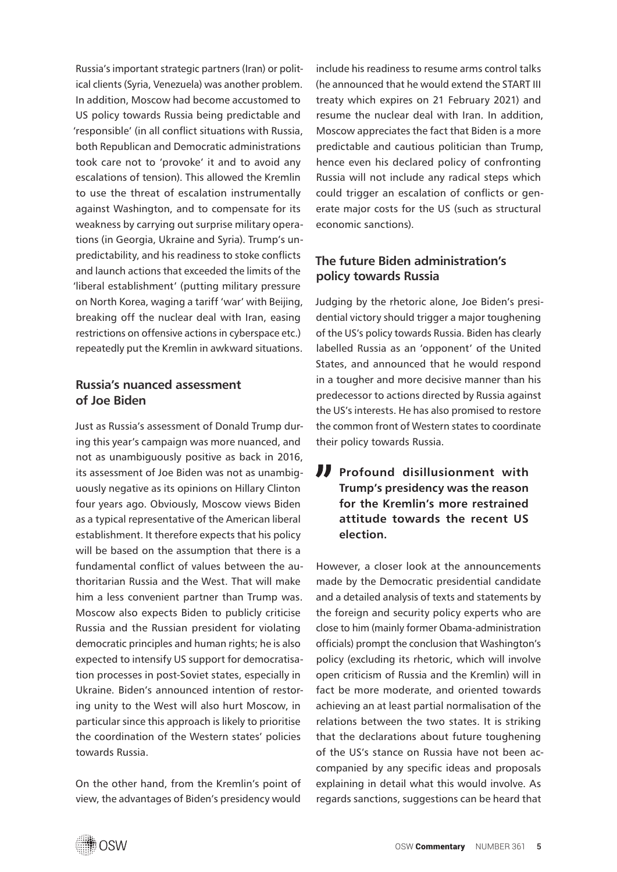Russia's important strategic partners (Iran) or political clients (Syria, Venezuela) was another problem. In addition, Moscow had become accustomed to US policy towards Russia being predictable and 'responsible' (in all conflict situations with Russia, both Republican and Democratic administrations took care not to 'provoke' it and to avoid any escalations of tension). This allowed the Kremlin to use the threat of escalation instrumentally against Washington, and to compensate for its weakness by carrying out surprise military operations (in Georgia, Ukraine and Syria). Trump's unpredictability, and his readiness to stoke conflicts and launch actions that exceeded the limits of the 'liberal establishment' (putting military pressure on North Korea, waging a tariff 'war' with Beijing, breaking off the nuclear deal with Iran, easing restrictions on offensive actions in cyberspace etc.) repeatedly put the Kremlin in awkward situations.

#### **Russia's nuanced assessment of Joe Biden**

Just as Russia's assessment of Donald Trump during this year's campaign was more nuanced, and not as unambiguously positive as back in 2016, its assessment of Joe Biden was not as unambiguously negative as its opinions on Hillary Clinton four years ago. Obviously, Moscow views Biden as a typical representative of the American liberal establishment. It therefore expects that his policy will be based on the assumption that there is a fundamental conflict of values between the authoritarian Russia and the West. That will make him a less convenient partner than Trump was. Moscow also expects Biden to publicly criticise Russia and the Russian president for violating democratic principles and human rights; he is also expected to intensify US support for democratisation processes in post-Soviet states, especially in Ukraine. Biden's announced intention of restoring unity to the West will also hurt Moscow, in particular since this approach is likely to prioritise the coordination of the Western states' policies towards Russia.

On the other hand, from the Kremlin's point of view, the advantages of Biden's presidency would include his readiness to resume arms control talks (he announced that he would extend the START III treaty which expires on 21 February 2021) and resume the nuclear deal with Iran. In addition, Moscow appreciates the fact that Biden is a more predictable and cautious politician than Trump, hence even his declared policy of confronting Russia will not include any radical steps which could trigger an escalation of conflicts or generate major costs for the US (such as structural economic sanctions).

# **The future Biden administration's policy towards Russia**

Judging by the rhetoric alone, Joe Biden's presidential victory should trigger a major toughening of the US's policy towards Russia. Biden has clearly labelled Russia as an 'opponent' of the United States, and announced that he would respond in a tougher and more decisive manner than his predecessor to actions directed by Russia against the US's interests. He has also promised to restore the common front of Western states to coordinate their policy towards Russia.

**Profound disillusionment with Trump's presidency was the reason for the Kremlin's more restrained attitude towards the recent US election.**

However, a closer look at the announcements made by the Democratic presidential candidate and a detailed analysis of texts and statements by the foreign and security policy experts who are close to him (mainly former Obama-administration officials) prompt the conclusion that Washington's policy (excluding its rhetoric, which will involve open criticism of Russia and the Kremlin) will in fact be more moderate, and oriented towards achieving an at least partial normalisation of the relations between the two states. It is striking that the declarations about future toughening of the US's stance on Russia have not been accompanied by any specific ideas and proposals explaining in detail what this would involve. As regards sanctions, suggestions can be heard that